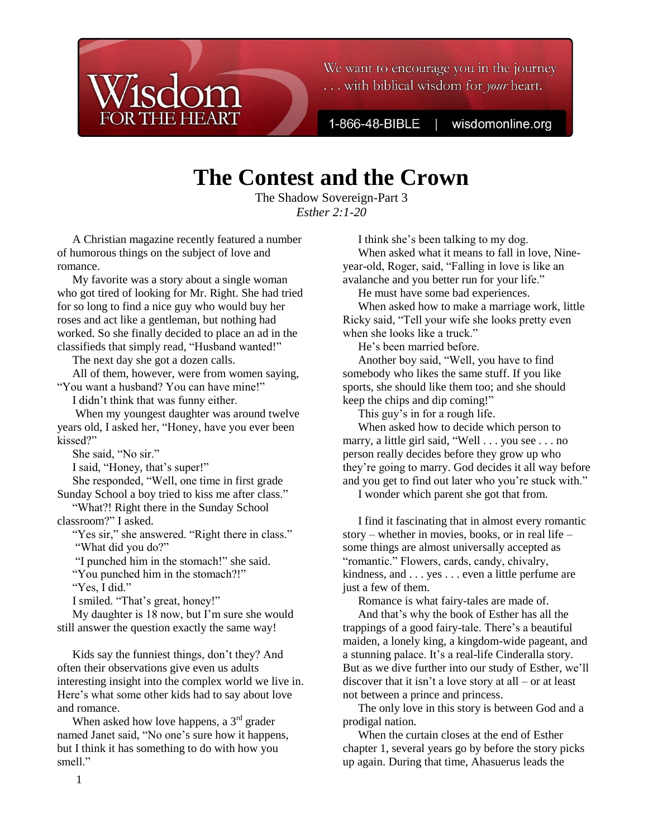We want to encourage you in the journey ... with biblical wisdom for *your* heart.

1-866-48-BIBLE

wisdomonline.org

# **The Contest and the Crown**

The Shadow Sovereign-Part 3 *Esther 2:1-20*

A Christian magazine recently featured a number of humorous things on the subject of love and romance.

My favorite was a story about a single woman who got tired of looking for Mr. Right. She had tried for so long to find a nice guy who would buy her roses and act like a gentleman, but nothing had worked. So she finally decided to place an ad in the classifieds that simply read, "Husband wanted!"

The next day she got a dozen calls.

All of them, however, were from women saying, "You want a husband? You can have mine!"

I didn't think that was funny either.

When my youngest daughter was around twelve years old, I asked her, "Honey, have you ever been kissed?"

She said, "No sir."

I said, "Honey, that's super!"

She responded, "Well, one time in first grade

Sunday School a boy tried to kiss me after class." "What?! Right there in the Sunday School

classroom?" I asked.

"Yes sir," she answered. "Right there in class." "What did you do?"

"I punched him in the stomach!" she said.

"You punched him in the stomach?!"

"Yes, I did."

I smiled. "That's great, honey!"

My daughter is 18 now, but I'm sure she would still answer the question exactly the same way!

Kids say the funniest things, don't they? And often their observations give even us adults interesting insight into the complex world we live in. Here's what some other kids had to say about love and romance.

When asked how love happens, a  $3<sup>rd</sup>$  grader named Janet said, "No one's sure how it happens, but I think it has something to do with how you smell."

I think she's been talking to my dog. When asked what it means to fall in love, Nineyear-old, Roger, said, "Falling in love is like an avalanche and you better run for your life."

He must have some bad experiences.

When asked how to make a marriage work, little Ricky said, "Tell your wife she looks pretty even when she looks like a truck."

He's been married before.

Another boy said, "Well, you have to find somebody who likes the same stuff. If you like sports, she should like them too; and she should keep the chips and dip coming!"

This guy's in for a rough life.

When asked how to decide which person to marry, a little girl said, "Well . . . you see . . . no person really decides before they grow up who they're going to marry. God decides it all way before and you get to find out later who you're stuck with."

I wonder which parent she got that from.

I find it fascinating that in almost every romantic story – whether in movies, books, or in real life – some things are almost universally accepted as "romantic." Flowers, cards, candy, chivalry, kindness, and . . . yes . . . even a little perfume are just a few of them.

Romance is what fairy-tales are made of.

And that's why the book of Esther has all the trappings of a good fairy-tale. There's a beautiful maiden, a lonely king, a kingdom-wide pageant, and a stunning palace. It's a real-life Cinderalla story. But as we dive further into our study of Esther, we'll discover that it isn't a love story at all – or at least not between a prince and princess.

The only love in this story is between God and a prodigal nation.

When the curtain closes at the end of Esther chapter 1, several years go by before the story picks up again. During that time, Ahasuerus leads the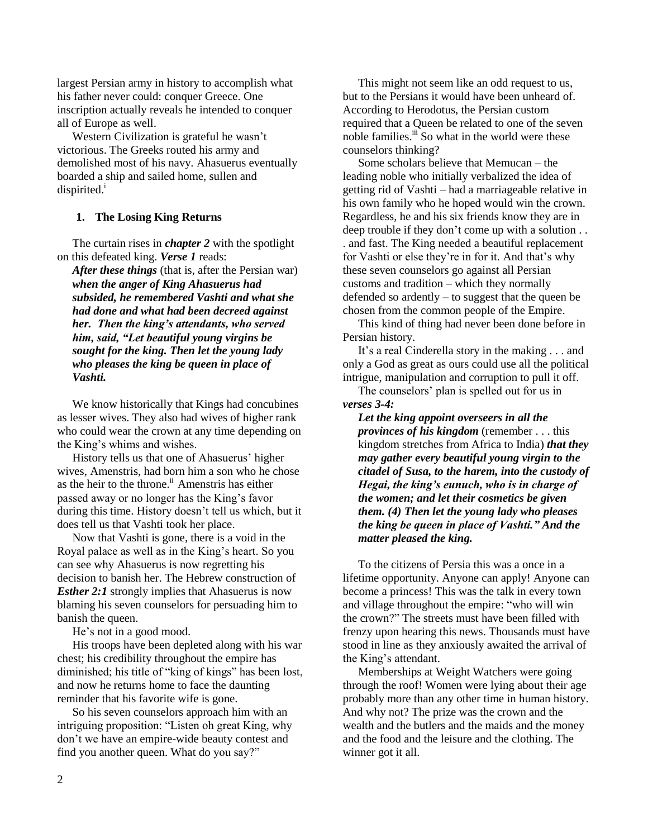largest Persian army in history to accomplish what his father never could: conquer Greece. One inscription actually reveals he intended to conquer all of Europe as well.

Western Civilization is grateful he wasn't victorious. The Greeks routed his army and demolished most of his navy. Ahasuerus eventually boarded a ship and sailed home, sullen and dispirited. $<sup>1</sup>$ </sup>

## **1. The Losing King Returns**

The curtain rises in *chapter 2* with the spotlight on this defeated king. *Verse 1* reads:

*After these things* (that is, after the Persian war) *when the anger of King Ahasuerus had subsided, he remembered Vashti and what she had done and what had been decreed against her. Then the king's attendants, who served him, said, "Let beautiful young virgins be sought for the king. Then let the young lady who pleases the king be queen in place of Vashti.*

We know historically that Kings had concubines as lesser wives. They also had wives of higher rank who could wear the crown at any time depending on the King's whims and wishes.

History tells us that one of Ahasuerus' higher wives, Amenstris, had born him a son who he chose as the heir to the throne.<sup>ii</sup> Amenstris has either passed away or no longer has the King's favor during this time. History doesn't tell us which, but it does tell us that Vashti took her place.

Now that Vashti is gone, there is a void in the Royal palace as well as in the King's heart. So you can see why Ahasuerus is now regretting his decision to banish her. The Hebrew construction of *Esther 2:1* strongly implies that Ahasuerus is now blaming his seven counselors for persuading him to banish the queen.

He's not in a good mood.

His troops have been depleted along with his war chest; his credibility throughout the empire has diminished; his title of "king of kings" has been lost, and now he returns home to face the daunting reminder that his favorite wife is gone.

So his seven counselors approach him with an intriguing proposition: "Listen oh great King, why don't we have an empire-wide beauty contest and find you another queen. What do you say?"

This might not seem like an odd request to us, but to the Persians it would have been unheard of. According to Herodotus, the Persian custom required that a Queen be related to one of the seven noble families.<sup>iii</sup> So what in the world were these counselors thinking?

Some scholars believe that Memucan – the leading noble who initially verbalized the idea of getting rid of Vashti – had a marriageable relative in his own family who he hoped would win the crown. Regardless, he and his six friends know they are in deep trouble if they don't come up with a solution . . . and fast. The King needed a beautiful replacement for Vashti or else they're in for it. And that's why these seven counselors go against all Persian customs and tradition – which they normally defended so ardently – to suggest that the queen be chosen from the common people of the Empire.

This kind of thing had never been done before in Persian history.

It's a real Cinderella story in the making . . . and only a God as great as ours could use all the political intrigue, manipulation and corruption to pull it off.

The counselors' plan is spelled out for us in *verses 3-4:*

*Let the king appoint overseers in all the provinces of his kingdom* (remember . . . this kingdom stretches from Africa to India) *that they may gather every beautiful young virgin to the citadel of Susa, to the harem, into the custody of Hegai, the king's eunuch, who is in charge of the women; and let their cosmetics be given them. (4) Then let the young lady who pleases the king be queen in place of Vashti." And the matter pleased the king.*

To the citizens of Persia this was a once in a lifetime opportunity. Anyone can apply! Anyone can become a princess! This was the talk in every town and village throughout the empire: "who will win the crown?" The streets must have been filled with frenzy upon hearing this news. Thousands must have stood in line as they anxiously awaited the arrival of the King's attendant.

Memberships at Weight Watchers were going through the roof! Women were lying about their age probably more than any other time in human history. And why not? The prize was the crown and the wealth and the butlers and the maids and the money and the food and the leisure and the clothing. The winner got it all.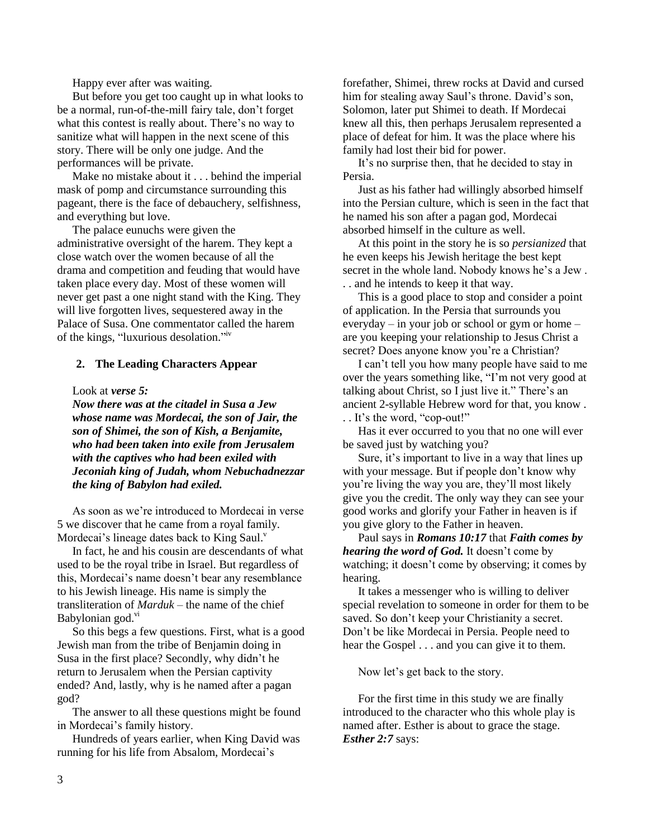Happy ever after was waiting.

But before you get too caught up in what looks to be a normal, run-of-the-mill fairy tale, don't forget what this contest is really about. There's no way to sanitize what will happen in the next scene of this story. There will be only one judge. And the performances will be private.

Make no mistake about it . . . behind the imperial mask of pomp and circumstance surrounding this pageant, there is the face of debauchery, selfishness, and everything but love.

The palace eunuchs were given the administrative oversight of the harem. They kept a close watch over the women because of all the drama and competition and feuding that would have taken place every day. Most of these women will never get past a one night stand with the King. They will live forgotten lives, sequestered away in the Palace of Susa. One commentator called the harem of the kings, "luxurious desolation."<sup>iv</sup>

#### **2. The Leading Characters Appear**

Look at *verse 5:* 

*Now there was at the citadel in Susa a Jew whose name was Mordecai, the son of Jair, the son of Shimei, the son of Kish, a Benjamite, who had been taken into exile from Jerusalem with the captives who had been exiled with Jeconiah king of Judah, whom Nebuchadnezzar the king of Babylon had exiled.*

As soon as we're introduced to Mordecai in verse 5 we discover that he came from a royal family. Mordecai's lineage dates back to King Saul.<sup>v</sup>

In fact, he and his cousin are descendants of what used to be the royal tribe in Israel. But regardless of this, Mordecai's name doesn't bear any resemblance to his Jewish lineage. His name is simply the transliteration of *Marduk* – the name of the chief Babylonian god.<sup>vi</sup>

So this begs a few questions. First, what is a good Jewish man from the tribe of Benjamin doing in Susa in the first place? Secondly, why didn't he return to Jerusalem when the Persian captivity ended? And, lastly, why is he named after a pagan god?

The answer to all these questions might be found in Mordecai's family history.

Hundreds of years earlier, when King David was running for his life from Absalom, Mordecai's

forefather, Shimei, threw rocks at David and cursed him for stealing away Saul's throne. David's son, Solomon, later put Shimei to death. If Mordecai knew all this, then perhaps Jerusalem represented a place of defeat for him. It was the place where his family had lost their bid for power.

It's no surprise then, that he decided to stay in Persia.

Just as his father had willingly absorbed himself into the Persian culture, which is seen in the fact that he named his son after a pagan god, Mordecai absorbed himself in the culture as well.

At this point in the story he is so *persianized* that he even keeps his Jewish heritage the best kept secret in the whole land. Nobody knows he's a Jew . . . and he intends to keep it that way.

This is a good place to stop and consider a point of application. In the Persia that surrounds you everyday – in your job or school or gym or home – are you keeping your relationship to Jesus Christ a secret? Does anyone know you're a Christian?

I can't tell you how many people have said to me over the years something like, "I'm not very good at talking about Christ, so I just live it." There's an ancient 2-syllable Hebrew word for that, you know . . . It's the word, "cop-out!"

Has it ever occurred to you that no one will ever be saved just by watching you?

Sure, it's important to live in a way that lines up with your message. But if people don't know why you're living the way you are, they'll most likely give you the credit. The only way they can see your good works and glorify your Father in heaven is if you give glory to the Father in heaven.

Paul says in *Romans 10:17* that *Faith comes by hearing the word of God.* It doesn't come by watching; it doesn't come by observing; it comes by hearing.

It takes a messenger who is willing to deliver special revelation to someone in order for them to be saved. So don't keep your Christianity a secret. Don't be like Mordecai in Persia. People need to hear the Gospel . . . and you can give it to them.

Now let's get back to the story.

For the first time in this study we are finally introduced to the character who this whole play is named after. Esther is about to grace the stage. *Esther 2:7* says: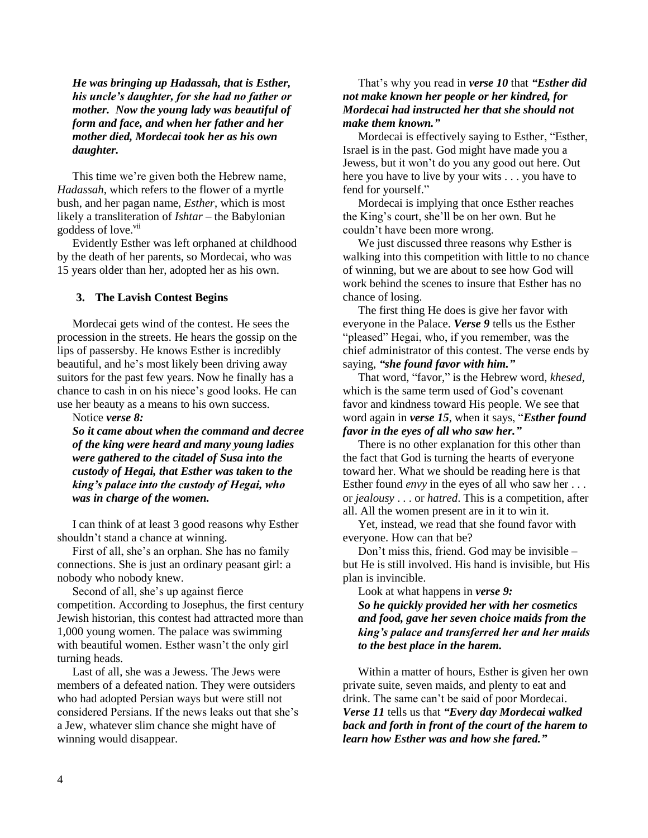*He was bringing up Hadassah, that is Esther, his uncle's daughter, for she had no father or mother. Now the young lady was beautiful of form and face, and when her father and her mother died, Mordecai took her as his own daughter.*

This time we're given both the Hebrew name, *Hadassah*, which refers to the flower of a myrtle bush, and her pagan name, *Esther*, which is most likely a transliteration of *Ishtar* – the Babylonian goddess of love.<sup>vii</sup>

Evidently Esther was left orphaned at childhood by the death of her parents, so Mordecai, who was 15 years older than her, adopted her as his own.

## **3. The Lavish Contest Begins**

Mordecai gets wind of the contest. He sees the procession in the streets. He hears the gossip on the lips of passersby. He knows Esther is incredibly beautiful, and he's most likely been driving away suitors for the past few years. Now he finally has a chance to cash in on his niece's good looks. He can use her beauty as a means to his own success.

Notice *verse 8:* 

*So it came about when the command and decree of the king were heard and many young ladies were gathered to the citadel of Susa into the custody of Hegai, that Esther was taken to the king's palace into the custody of Hegai, who was in charge of the women.*

I can think of at least 3 good reasons why Esther shouldn't stand a chance at winning.

First of all, she's an orphan. She has no family connections. She is just an ordinary peasant girl: a nobody who nobody knew.

Second of all, she's up against fierce competition. According to Josephus, the first century Jewish historian, this contest had attracted more than 1,000 young women. The palace was swimming with beautiful women. Esther wasn't the only girl turning heads.

Last of all, she was a Jewess. The Jews were members of a defeated nation. They were outsiders who had adopted Persian ways but were still not considered Persians. If the news leaks out that she's a Jew, whatever slim chance she might have of winning would disappear.

## That's why you read in *verse 10* that *"Esther did not make known her people or her kindred, for Mordecai had instructed her that she should not make them known."*

Mordecai is effectively saying to Esther, "Esther, Israel is in the past. God might have made you a Jewess, but it won't do you any good out here. Out here you have to live by your wits . . . you have to fend for yourself."

Mordecai is implying that once Esther reaches the King's court, she'll be on her own. But he couldn't have been more wrong.

We just discussed three reasons why Esther is walking into this competition with little to no chance of winning, but we are about to see how God will work behind the scenes to insure that Esther has no chance of losing.

The first thing He does is give her favor with everyone in the Palace. *Verse 9* tells us the Esther "pleased" Hegai, who, if you remember, was the chief administrator of this contest. The verse ends by saying, *"she found favor with him."*

That word, "favor," is the Hebrew word, *khesed*, which is the same term used of God's covenant favor and kindness toward His people. We see that word again in *verse 15*, when it says, "*Esther found favor in the eyes of all who saw her."*

There is no other explanation for this other than the fact that God is turning the hearts of everyone toward her. What we should be reading here is that Esther found *envy* in the eyes of all who saw her . . . or *jealousy* . . . or *hatred*. This is a competition, after all. All the women present are in it to win it.

Yet, instead, we read that she found favor with everyone. How can that be?

Don't miss this, friend. God may be invisible – but He is still involved. His hand is invisible, but His plan is invincible.

Look at what happens in *verse 9: So he quickly provided her with her cosmetics and food, gave her seven choice maids from the king's palace and transferred her and her maids to the best place in the harem.*

Within a matter of hours, Esther is given her own private suite, seven maids, and plenty to eat and drink. The same can't be said of poor Mordecai. *Verse 11* tells us that *"Every day Mordecai walked back and forth in front of the court of the harem to learn how Esther was and how she fared."*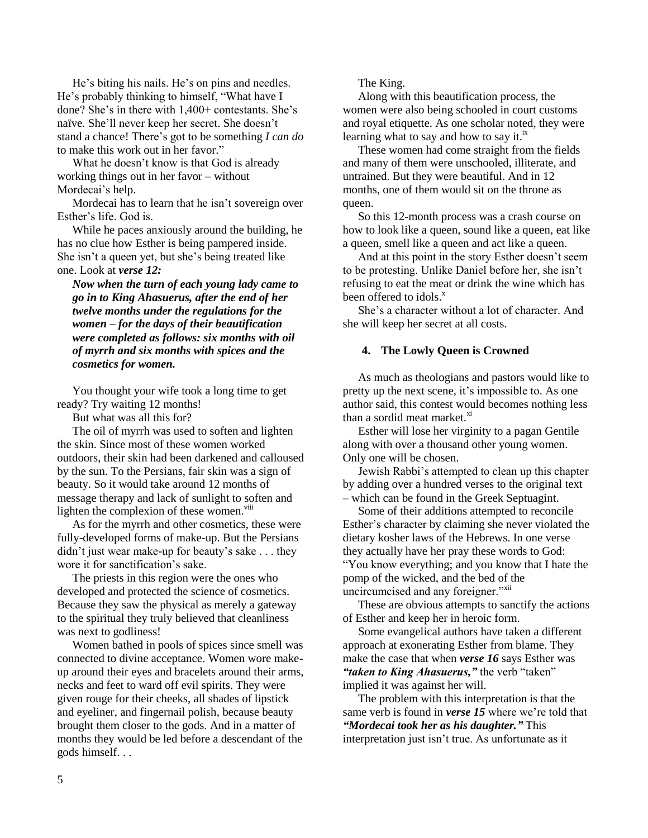He's biting his nails. He's on pins and needles. He's probably thinking to himself, "What have I done? She's in there with 1,400+ contestants. She's naïve. She'll never keep her secret. She doesn't stand a chance! There's got to be something *I can do* to make this work out in her favor."

What he doesn't know is that God is already working things out in her favor – without Mordecai's help.

Mordecai has to learn that he isn't sovereign over Esther's life. God is.

While he paces anxiously around the building, he has no clue how Esther is being pampered inside. She isn't a queen yet, but she's being treated like one. Look at *verse 12:* 

*Now when the turn of each young lady came to go in to King Ahasuerus, after the end of her twelve months under the regulations for the women – for the days of their beautification were completed as follows: six months with oil of myrrh and six months with spices and the cosmetics for women.*

You thought your wife took a long time to get ready? Try waiting 12 months!

But what was all this for?

The oil of myrrh was used to soften and lighten the skin. Since most of these women worked outdoors, their skin had been darkened and calloused by the sun. To the Persians, fair skin was a sign of beauty. So it would take around 12 months of message therapy and lack of sunlight to soften and lighten the complexion of these women.<sup>viii</sup>

As for the myrrh and other cosmetics, these were fully-developed forms of make-up. But the Persians didn't just wear make-up for beauty's sake . . . they wore it for sanctification's sake.

The priests in this region were the ones who developed and protected the science of cosmetics. Because they saw the physical as merely a gateway to the spiritual they truly believed that cleanliness was next to godliness!

Women bathed in pools of spices since smell was connected to divine acceptance. Women wore makeup around their eyes and bracelets around their arms, necks and feet to ward off evil spirits. They were given rouge for their cheeks, all shades of lipstick and eyeliner, and fingernail polish, because beauty brought them closer to the gods. And in a matter of months they would be led before a descendant of the gods himself. . .

The King.

Along with this beautification process, the women were also being schooled in court customs and royal etiquette. As one scholar noted, they were learning what to say and how to say it.<sup>ix</sup>

These women had come straight from the fields and many of them were unschooled, illiterate, and untrained. But they were beautiful. And in 12 months, one of them would sit on the throne as queen.

So this 12-month process was a crash course on how to look like a queen, sound like a queen, eat like a queen, smell like a queen and act like a queen.

And at this point in the story Esther doesn't seem to be protesting. Unlike Daniel before her, she isn't refusing to eat the meat or drink the wine which has been offered to idols.<sup>x</sup>

She's a character without a lot of character. And she will keep her secret at all costs.

## **4. The Lowly Queen is Crowned**

As much as theologians and pastors would like to pretty up the next scene, it's impossible to. As one author said, this contest would becomes nothing less than a sordid meat market.<sup>xi</sup>

Esther will lose her virginity to a pagan Gentile along with over a thousand other young women. Only one will be chosen.

Jewish Rabbi's attempted to clean up this chapter by adding over a hundred verses to the original text – which can be found in the Greek Septuagint.

Some of their additions attempted to reconcile Esther's character by claiming she never violated the dietary kosher laws of the Hebrews. In one verse they actually have her pray these words to God: "You know everything; and you know that I hate the pomp of the wicked, and the bed of the uncircumcised and any foreigner."<sup>xii</sup>

These are obvious attempts to sanctify the actions of Esther and keep her in heroic form.

Some evangelical authors have taken a different approach at exonerating Esther from blame. They make the case that when *verse 16* says Esther was *"taken to King Ahasuerus,"* the verb "taken" implied it was against her will.

The problem with this interpretation is that the same verb is found in *verse 15* where we're told that *"Mordecai took her as his daughter."* This interpretation just isn't true. As unfortunate as it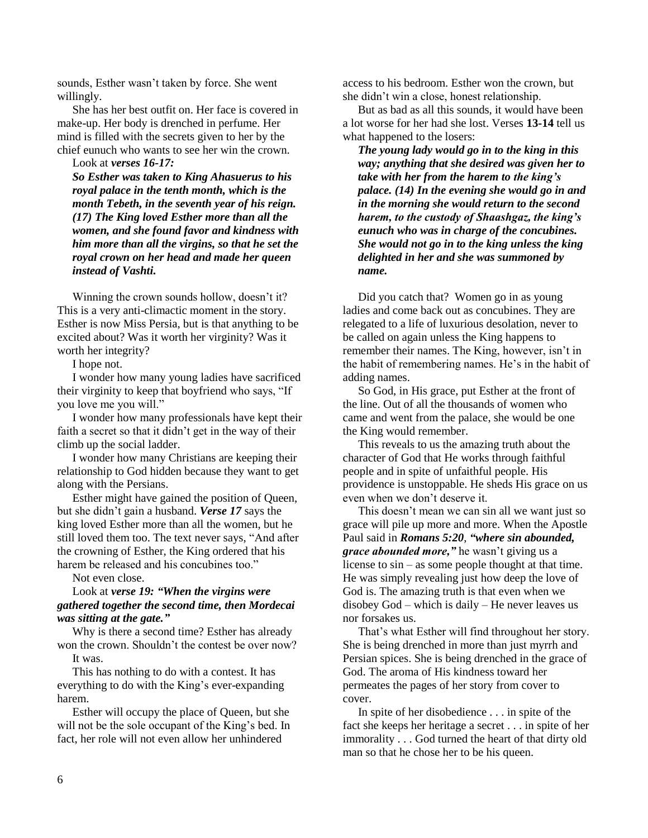sounds, Esther wasn't taken by force. She went willingly.

She has her best outfit on. Her face is covered in make-up. Her body is drenched in perfume. Her mind is filled with the secrets given to her by the chief eunuch who wants to see her win the crown.

Look at *verses 16-17:* 

*So Esther was taken to King Ahasuerus to his royal palace in the tenth month, which is the month Tebeth, in the seventh year of his reign. (17) The King loved Esther more than all the women, and she found favor and kindness with him more than all the virgins, so that he set the royal crown on her head and made her queen instead of Vashti.*

Winning the crown sounds hollow, doesn't it? This is a very anti-climactic moment in the story. Esther is now Miss Persia, but is that anything to be excited about? Was it worth her virginity? Was it worth her integrity?

I hope not.

I wonder how many young ladies have sacrificed their virginity to keep that boyfriend who says, "If you love me you will."

I wonder how many professionals have kept their faith a secret so that it didn't get in the way of their climb up the social ladder.

I wonder how many Christians are keeping their relationship to God hidden because they want to get along with the Persians.

Esther might have gained the position of Queen, but she didn't gain a husband. *Verse 17* says the king loved Esther more than all the women, but he still loved them too. The text never says, "And after the crowning of Esther, the King ordered that his harem be released and his concubines too."

Not even close.

# Look at *verse 19: "When the virgins were gathered together the second time, then Mordecai was sitting at the gate."*

Why is there a second time? Esther has already won the crown. Shouldn't the contest be over now? It was.

This has nothing to do with a contest. It has everything to do with the King's ever-expanding harem.

Esther will occupy the place of Queen, but she will not be the sole occupant of the King's bed. In fact, her role will not even allow her unhindered

access to his bedroom. Esther won the crown, but she didn't win a close, honest relationship.

But as bad as all this sounds, it would have been a lot worse for her had she lost. Verses **13-14** tell us what happened to the losers:

*The young lady would go in to the king in this way; anything that she desired was given her to take with her from the harem to the king's palace. (14) In the evening she would go in and in the morning she would return to the second harem, to the custody of Shaashgaz, the king's eunuch who was in charge of the concubines. She would not go in to the king unless the king delighted in her and she was summoned by name.*

Did you catch that? Women go in as young ladies and come back out as concubines. They are relegated to a life of luxurious desolation, never to be called on again unless the King happens to remember their names. The King, however, isn't in the habit of remembering names. He's in the habit of adding names.

So God, in His grace, put Esther at the front of the line. Out of all the thousands of women who came and went from the palace, she would be one the King would remember.

This reveals to us the amazing truth about the character of God that He works through faithful people and in spite of unfaithful people. His providence is unstoppable. He sheds His grace on us even when we don't deserve it.

This doesn't mean we can sin all we want just so grace will pile up more and more. When the Apostle Paul said in *Romans 5:20*, *"where sin abounded, grace abounded more,"* he wasn't giving us a license to sin – as some people thought at that time. He was simply revealing just how deep the love of God is. The amazing truth is that even when we disobey God – which is daily – He never leaves us nor forsakes us.

That's what Esther will find throughout her story. She is being drenched in more than just myrrh and Persian spices. She is being drenched in the grace of God. The aroma of His kindness toward her permeates the pages of her story from cover to cover.

In spite of her disobedience . . . in spite of the fact she keeps her heritage a secret . . . in spite of her immorality . . . God turned the heart of that dirty old man so that he chose her to be his queen.